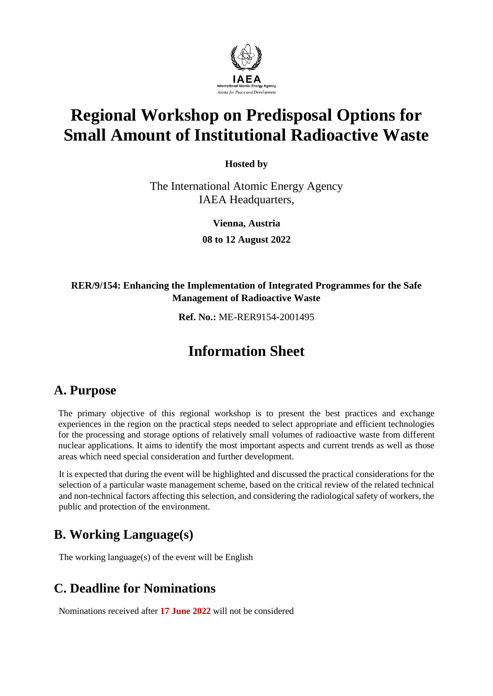

# **Regional Workshop on Predisposal Options for Small Amount of Institutional Radioactive Waste**

**Hosted by**

The International Atomic Energy Agency IAEA Headquarters,

**Vienna, Austria**

**08 to 12 August 2022**

#### **RER/9/154: Enhancing the Implementation of Integrated Programmes for the Safe Management of Radioactive Waste**

**Ref. No.:** ME-RER9154-2001495

# **Information Sheet**

#### **A. Purpose**

The primary objective of this regional workshop is to present the best practices and exchange experiences in the region on the practical steps needed to select appropriate and efficient technologies for the processing and storage options of relatively small volumes of radioactive waste from different nuclear applications. It aims to identify the most important aspects and current trends as well as those areas which need special consideration and further development.

It is expected that during the event will be highlighted and discussed the practical considerations for the selection of a particular waste management scheme, based on the critical review of the related technical and non-technical factors affecting this selection, and considering the radiological safety of workers, the public and protection of the environment.

### **B. Working Language(s)**

The working language(s) of the event will be English

### **C. Deadline for Nominations**

Nominations received after **17 June 2022** will not be considered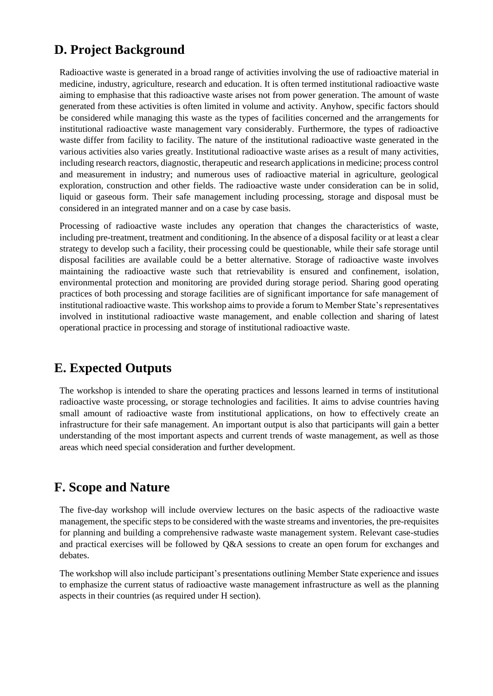#### **D. Project Background**

Radioactive waste is generated in a broad range of activities involving the use of radioactive material in medicine, industry, agriculture, research and education. It is often termed institutional radioactive waste aiming to emphasise that this radioactive waste arises not from power generation. The amount of waste generated from these activities is often limited in volume and activity. Anyhow, specific factors should be considered while managing this waste as the types of facilities concerned and the arrangements for institutional radioactive waste management vary considerably. Furthermore, the types of radioactive waste differ from facility to facility. The nature of the institutional radioactive waste generated in the various activities also varies greatly. Institutional radioactive waste arises as a result of many activities, including research reactors, diagnostic, therapeutic and research applications in medicine; process control and measurement in industry; and numerous uses of radioactive material in agriculture, geological exploration, construction and other fields. The radioactive waste under consideration can be in solid, liquid or gaseous form. Their safe management including processing, storage and disposal must be considered in an integrated manner and on a case by case basis.

Processing of radioactive waste includes any operation that changes the characteristics of waste, including pre-treatment, treatment and conditioning. In the absence of a disposal facility or at least a clear strategy to develop such a facility, their processing could be questionable, while their safe storage until disposal facilities are available could be a better alternative. Storage of radioactive waste involves maintaining the radioactive waste such that retrievability is ensured and confinement, isolation, environmental protection and monitoring are provided during storage period. Sharing good operating practices of both processing and storage facilities are of significant importance for safe management of institutional radioactive waste. This workshop aims to provide a forum to Member State's representatives involved in institutional radioactive waste management, and enable collection and sharing of latest operational practice in processing and storage of institutional radioactive waste.

#### **E. Expected Outputs**

The workshop is intended to share the operating practices and lessons learned in terms of institutional radioactive waste processing, or storage technologies and facilities. It aims to advise countries having small amount of radioactive waste from institutional applications, on how to effectively create an infrastructure for their safe management. An important output is also that participants will gain a better understanding of the most important aspects and current trends of waste management, as well as those areas which need special consideration and further development.

#### **F. Scope and Nature**

The five-day workshop will include overview lectures on the basic aspects of the radioactive waste management, the specific steps to be considered with the waste streams and inventories, the pre-requisites for planning and building a comprehensive radwaste waste management system. Relevant case-studies and practical exercises will be followed by Q&A sessions to create an open forum for exchanges and debates.

The workshop will also include participant's presentations outlining Member State experience and issues to emphasize the current status of radioactive waste management infrastructure as well as the planning aspects in their countries (as required under H section).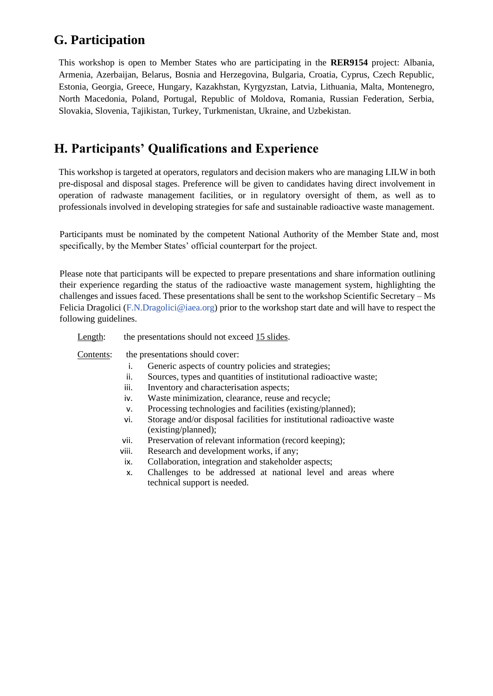#### **G. Participation**

This workshop is open to Member States who are participating in the **RER9154** project: Albania, Armenia, Azerbaijan, Belarus, Bosnia and Herzegovina, Bulgaria, Croatia, Cyprus, Czech Republic, Estonia, Georgia, Greece, Hungary, Kazakhstan, Kyrgyzstan, Latvia, Lithuania, Malta, Montenegro, North Macedonia, Poland, Portugal, Republic of Moldova, Romania, Russian Federation, Serbia, Slovakia, Slovenia, Tajikistan, Turkey, Turkmenistan, Ukraine, and Uzbekistan.

### **H. Participants' Qualifications and Experience**

This workshop is targeted at operators, regulators and decision makers who are managing LILW in both pre-disposal and disposal stages. Preference will be given to candidates having direct involvement in operation of radwaste management facilities, or in regulatory oversight of them, as well as to professionals involved in developing strategies for safe and sustainable radioactive waste management.

Participants must be nominated by the competent National Authority of the Member State and, most specifically, by the Member States' official counterpart for the project.

Please note that participants will be expected to prepare presentations and share information outlining their experience regarding the status of the radioactive waste management system, highlighting the challenges and issues faced. These presentations shall be sent to the workshop Scientific Secretary – Ms Felicia Dragolici [\(F.N.Dragolici@iaea.org\)](mailto:F.N.Dragolici@iaea.org) prior to the workshop start date and will have to respect the following guidelines.

Length: the presentations should not exceed 15 slides.

Contents: the presentations should cover:

- i. Generic aspects of country policies and strategies;
- ii. Sources, types and quantities of institutional radioactive waste;
- iii. Inventory and characterisation aspects;
- iv. Waste minimization, clearance, reuse and recycle;
- v. Processing technologies and facilities (existing/planned);
- vi. Storage and/or disposal facilities for institutional radioactive waste (existing/planned);
- vii. Preservation of relevant information (record keeping);
- viii. Research and development works, if any;
- ix. Collaboration, integration and stakeholder aspects;
- x. Challenges to be addressed at national level and areas where technical support is needed.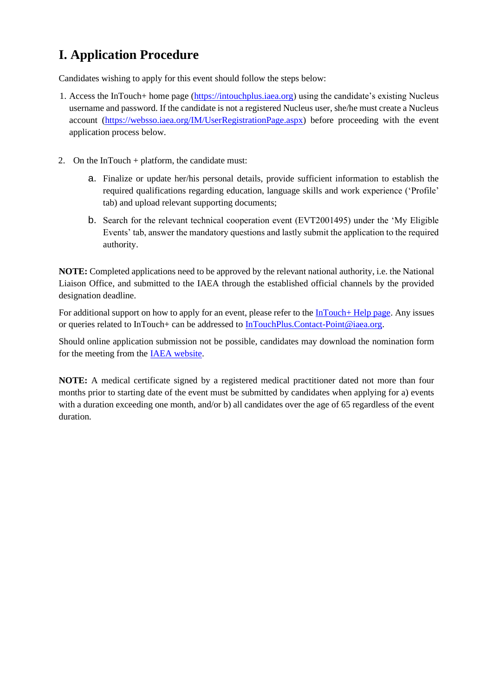## **I. Application Procedure**

Candidates wishing to apply for this event should follow the steps below:

- 1. Access the InTouch+ home page [\(https://intouchplus.iaea.org\)](https://intouchplus.iaea.org/) using the candidate's existing Nucleus username and password. If the candidate is not a registered Nucleus user, she/he must create a Nucleus account [\(https://websso.iaea.org/IM/UserRegistrationPage.aspx\)](https://websso.iaea.org/IM/UserRegistrationPage.aspx) before proceeding with the event application process below.
- 2. On the InTouch + platform, the candidate must:
	- a. Finalize or update her/his personal details, provide sufficient information to establish the required qualifications regarding education, language skills and work experience ('Profile' tab) and upload relevant supporting documents;
	- b. Search for the relevant technical cooperation event (EVT2001495) under the 'My Eligible Events' tab, answer the mandatory questions and lastly submit the application to the required authority.

**NOTE:** Completed applications need to be approved by the relevant national authority, i.e. the National Liaison Office, and submitted to the IAEA through the established official channels by the provided designation deadline.

For additional support on how to apply for an event, please refer to the [InTouch+ Help page.](https://nucleus.iaea.org/sites/intouchplushelp) Any issues or queries related to InTouch+ can be addressed to [InTouchPlus.Contact-Point@iaea.org.](mailto:InTouchPlus.Contact-Point@iaea.org)

Should online application submission not be possible, candidates may download the nomination form for the meeting from the [IAEA website.](https://www.iaea.org/services/technical-cooperation-programme/how-to-participate)

**NOTE:** A medical certificate signed by a registered medical practitioner dated not more than four months prior to starting date of the event must be submitted by candidates when applying for a) events with a duration exceeding one month, and/or b) all candidates over the age of 65 regardless of the event duration.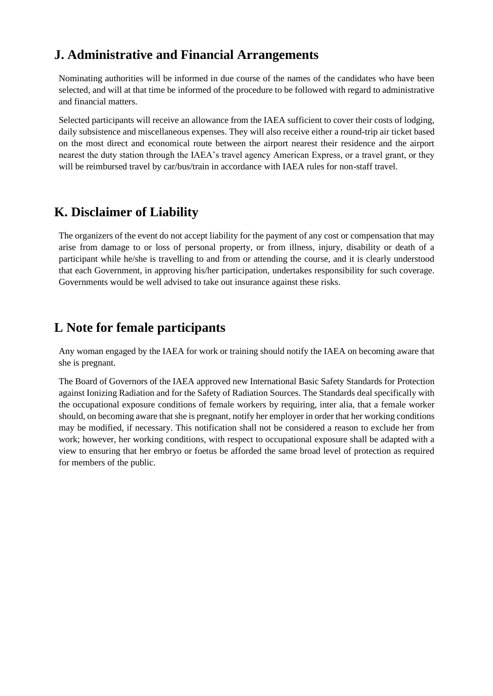### **J. Administrative and Financial Arrangements**

Nominating authorities will be informed in due course of the names of the candidates who have been selected, and will at that time be informed of the procedure to be followed with regard to administrative and financial matters.

Selected participants will receive an allowance from the IAEA sufficient to cover their costs of lodging, daily subsistence and miscellaneous expenses. They will also receive either a round-trip air ticket based on the most direct and economical route between the airport nearest their residence and the airport nearest the duty station through the IAEA's travel agency American Express, or a travel grant, or they will be reimbursed travel by car/bus/train in accordance with IAEA rules for non-staff travel.

#### **K. Disclaimer of Liability**

The organizers of the event do not accept liability for the payment of any cost or compensation that may arise from damage to or loss of personal property, or from illness, injury, disability or death of a participant while he/she is travelling to and from or attending the course, and it is clearly understood that each Government, in approving his/her participation, undertakes responsibility for such coverage. Governments would be well advised to take out insurance against these risks.

#### **L Note for female participants**

Any woman engaged by the IAEA for work or training should notify the IAEA on becoming aware that she is pregnant.

The Board of Governors of the IAEA approved new International Basic Safety Standards for Protection against Ionizing Radiation and for the Safety of Radiation Sources. The Standards deal specifically with the occupational exposure conditions of female workers by requiring, inter alia, that a female worker should, on becoming aware that she is pregnant, notify her employer in order that her working conditions may be modified, if necessary. This notification shall not be considered a reason to exclude her from work; however, her working conditions, with respect to occupational exposure shall be adapted with a view to ensuring that her embryo or foetus be afforded the same broad level of protection as required for members of the public.